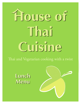## **House of Thai Cuisine**

Thai and Vegetarian cooking with a twist

**Lunch Menu**

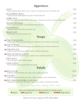## **Appetizers**

| <b>SATAY</b><br>Strips of grilled marinated chicken or beef on skewers served with peanut sauce and cucumber salad                         | 6.95  |
|--------------------------------------------------------------------------------------------------------------------------------------------|-------|
| THAI SPRING ROLL<br>Vegetable and clear noodle wrapped in rice paper served with plum sauce                                                | 4.95  |
| <b>CURRY PUFF</b><br>Puff Pastry stuffed with ground chicken, potatoes, onions and yellow curry powder served with cucumber salad          | 5.95  |
| <b>THAI DUMPLINGS</b><br>Ground chicken and vegetables served with delicious dark brown sauce                                              | 5.95  |
| <b>SQUID RINGS</b><br>Crispy fried calamari served with sweet and sour sauce                                                               | 6.95  |
| <b>FRIED TOFU</b><br>Deep fried tofu served with sweet peanut sauce                                                                        | 5.95  |
| <b>Soups</b>                                                                                                                               |       |
| <b>STOM YUM GOONG</b><br>Shrimp in spicy herbal clear broth with lemon grass, kaffir lime, leaves, mushrooms and lime sauce                | 5.50  |
| <b>STOM YUM KAI</b><br>Chicken in spicy herbal clear broth with lemon grass, kaffir lime, leaves, mushrooms and lime sauce                 | 4.95  |
| <b>STOM KHA KAI</b><br>Chicken in coconut milk, galanga, kaffir lime leaves, mushrooms and lime juice                                      | 5.95  |
| <b>XKING OF THE SEA SOUP</b><br>Seafood combination soup with lemon grass, kaffir lime leaves, mushrooms and lime juice                    | 5.95  |
| <b>TOFU SOUP</b><br>Clear broth soup with tofu and mixed vegetables                                                                        | 4.50  |
| <b>GANG CHUD</b><br>Clear broth filled with tofu, ground chicken and vegetables                                                            | 4.95  |
| Salads                                                                                                                                     |       |
| <b>SBEEF SALAD</b><br>Grilled beef marinated with lime juice, tomato, onions, scallions and cucumber                                       | 11.95 |
| <b>XYUM PED</b><br>Crispy duck marinated with lime juice, onions, scallions, bell peppers, tomato and cashew nuts                          | 11.95 |
| <b>SPICY GROUND PORK (NAM SOD)</b><br>Ground pork cooked well-done with lime juice, ginger, onions, scallions, roasted peanuts and lettuce | 9.95  |

Thai and Vegetarian cooking with a twist

| WE CAN ALTER HOT & SPICY FOOD TO YOUR TASTE |                  |                        |  |
|---------------------------------------------|------------------|------------------------|--|
| $\lambda$ MILD $\lambda$ MEDIUM             | <b>XXX SPICY</b> | <b>XXXX</b> VERY SPICY |  |

Parties of 8 or more - gratuity of 18% will be added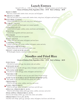## **Lunch Entrees**

Served 11:30 A.M. - 2:30 P.M. | TUES - FRIDAY | All lunch entrees served with salad. **Choice of Chicken, Pork, Vegetable or Tofu - \$7.95 Beef or Shrimp - \$8.95**

RED CURRY *Red curry, coconut milk, bamboo shoots, sweet peas and bell peppers* **XGREEN CURRY** *Spicy and sweet green curry, coconut milk, bamboo shoots, string beans, bell peppers and basil leaves* PAD PRIK KHING *Sautéed prik khing curry paste with string beans, and bell peppers* GARLIC SAUCE *Sautéed with garlic and black pepper over steamed vegetables* GINGER SAUCE *Sautéed with fresh ginger, scallions, onions, mushrooms and bell peppers* PAD PAK *Sautéed mixed vegetables with house special sauce* PHA RAM *Sautéed Thai peanut sauce over vegetables* BASIL SAUCE *Sautéed chili sauce with onions, bell peppers and basil leaves* CASHEW SAUCE *Sautéed cashew nuts with carrots, scallions, bell peppers, onions and celery* CHICKEN BROCCOLI *Sautéed chicken with carrots and broccoli in oyster sauce* SWEET AND SOUR SAUCE *With pineapple, tomatoes, cucumbers, scallions and onions* **Noodles and Fried Rice** All entrees served with salad. **Choice of Chicken, Pork, Vegetable or Tofu - \$7.95 Beef or Shrimp - \$8.95** PAD THAI *Stir fried rice noodles with eggs, bean sprouts, tofu and scallions* PAD KHI MAO *Stir fried broad rice noodles with eggs, onions, bell peppers and basil leaves* SEN LEK KHI MAO *Stir fried rice noodles with eggs, onions, bell peppers and basil leaves* PAD SEE EW *Stir fried broad rice noodles in sweet soy sauce with Chinese broccoli and eggs* **TOM YUM NOODLE SOUP WITH SHRIMP** (8.95) *Rice noodles in spicy clear broth with bean sprouts and scallions* FRIED RICE *Fried rice with eggs, onions, scallions, sweet peas and carrots* BASIL FRIED RICE *Fried rice with eggs, onions, bell peppers, basil leaves and chili sauce* SPECIAL FRIED RICE (8.95) *Fried rice with shrimp, chicken, pork, eggs, onions, scallions, sweet peas and carrots* PINEAPPLE FRIED RICE (8.95) *Fried rice with shrimp, chicken, egg, cashew nuts, onions and scallions* FRIED RICE TA LAY (8.95) *Fried Rice with shrimp, squid, egg, asparagus, onions, bell peppers, basil leaves and chili sauce*